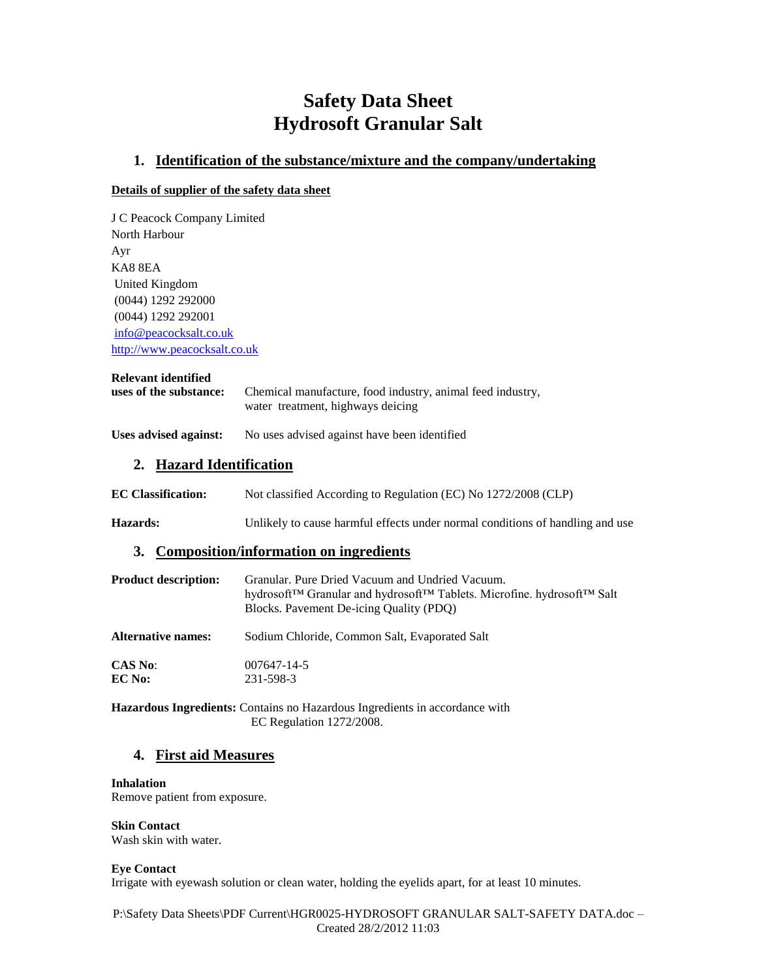# **Safety Data Sheet Hydrosoft Granular Salt**

### **1. Identification of the substance/mixture and the company/undertaking**

### **Details of supplier of the safety data sheet**

J C Peacock Company Limited North Harbour Ayr KA8 8EA United Kingdom (0044) 1292 292000 (0044) 1292 292001 [info@peacocksalt.co.uk](mailto:info@peacocksalt.co.uk) [http://www.peacocksalt.co.uk](http://www.peacocksalt.co.uk/)

### **Relevant identified**

| uses of the substance: | Chemical manufacture, food industry, animal feed industry, |
|------------------------|------------------------------------------------------------|
|                        | water treatment, highways deicing                          |

### **Uses advised against:** No uses advised against have been identified

# **2. Hazard Identification**

| <b>EC Classification:</b> | Not classified According to Regulation (EC) No 1272/2008 (CLP) |  |
|---------------------------|----------------------------------------------------------------|--|
|                           |                                                                |  |

**Hazards:** Unlikely to cause harmful effects under normal conditions of handling and use

### **3. Composition/information on ingredients**

| <b>Product description:</b> | Granular. Pure Dried Vacuum and Undried Vacuum.<br>hydrosoft™ Granular and hydrosoft™ Tablets. Microfine. hydrosoft™ Salt<br>Blocks. Pavement De-icing Quality (PDQ) |
|-----------------------------|----------------------------------------------------------------------------------------------------------------------------------------------------------------------|
| <b>Alternative names:</b>   | Sodium Chloride, Common Salt, Evaporated Salt                                                                                                                        |
| <b>CAS No:</b>              | 007647-14-5                                                                                                                                                          |
| EC No:                      | 231-598-3                                                                                                                                                            |

**Hazardous Ingredients:** Contains no Hazardous Ingredients in accordance with EC Regulation 1272/2008.

# **4. First aid Measures**

#### **Inhalation**

Remove patient from exposure.

# **Skin Contact**

Wash skin with water.

### **Eye Contact**

Irrigate with eyewash solution or clean water, holding the eyelids apart, for at least 10 minutes.

P:\Safety Data Sheets\PDF Current\HGR0025-HYDROSOFT GRANULAR SALT-SAFETY DATA.doc – Created 28/2/2012 11:03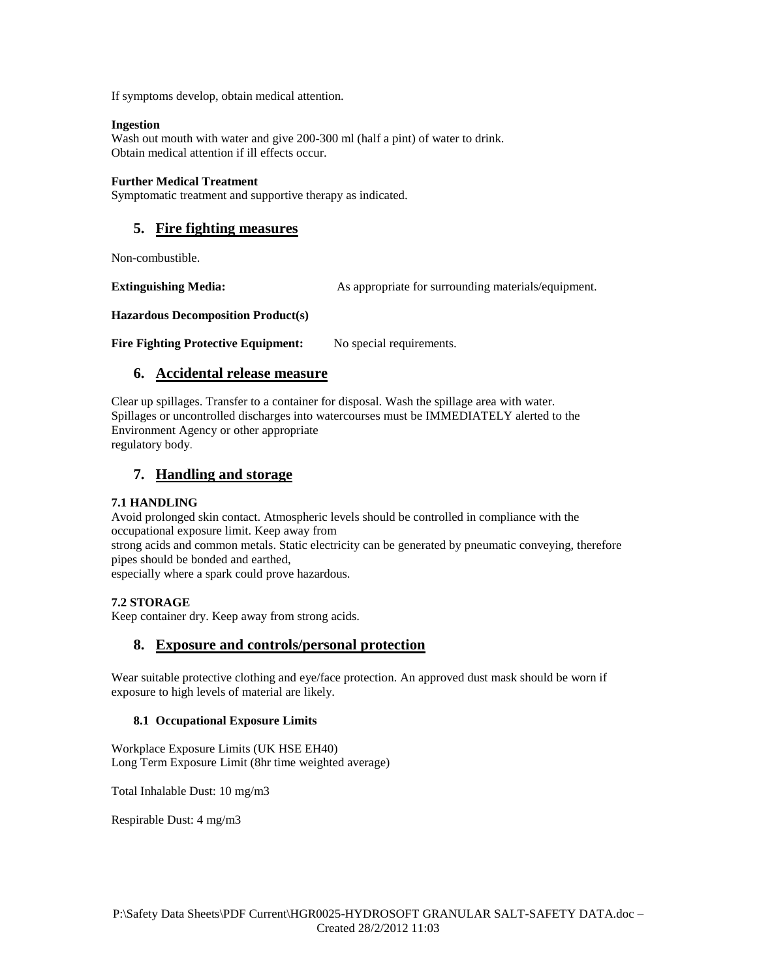If symptoms develop, obtain medical attention.

#### **Ingestion**

Wash out mouth with water and give 200-300 ml (half a pint) of water to drink. Obtain medical attention if ill effects occur.

#### **Further Medical Treatment**

Symptomatic treatment and supportive therapy as indicated.

# **5. Fire fighting measures**

Non-combustible.

**Extinguishing Media:** As appropriate for surrounding materials/equipment.

**Hazardous Decomposition Product(s)**

Fire Fighting Protective Equipment: No special requirements.

# **6. Accidental release measure**

Clear up spillages. Transfer to a container for disposal. Wash the spillage area with water. Spillages or uncontrolled discharges into watercourses must be IMMEDIATELY alerted to the Environment Agency or other appropriate regulatory body.

# **7. Handling and storage**

### **7.1 HANDLING**

Avoid prolonged skin contact. Atmospheric levels should be controlled in compliance with the occupational exposure limit. Keep away from

strong acids and common metals. Static electricity can be generated by pneumatic conveying, therefore pipes should be bonded and earthed,

especially where a spark could prove hazardous.

### **7.2 STORAGE**

Keep container dry. Keep away from strong acids.

### **8. Exposure and controls/personal protection**

Wear suitable protective clothing and eye/face protection. An approved dust mask should be worn if exposure to high levels of material are likely.

### **8.1 Occupational Exposure Limits**

Workplace Exposure Limits (UK HSE EH40) Long Term Exposure Limit (8hr time weighted average)

Total Inhalable Dust: 10 mg/m3

Respirable Dust: 4 mg/m3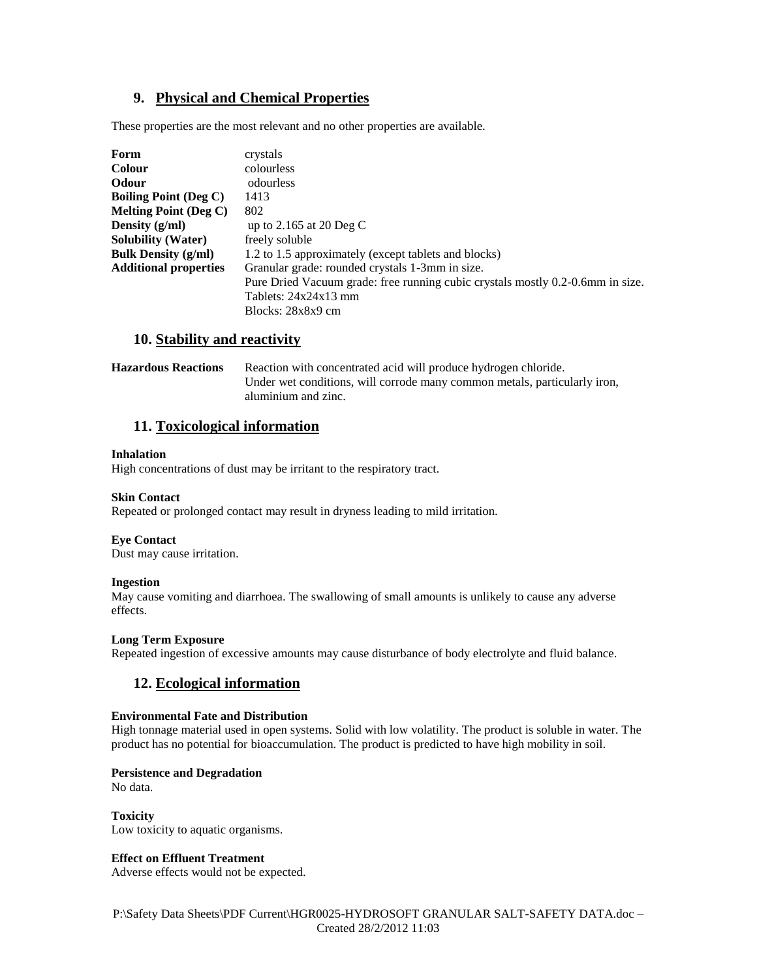# **9. Physical and Chemical Properties**

These properties are the most relevant and no other properties are available.

| Form                                    | crystals                                                                       |
|-----------------------------------------|--------------------------------------------------------------------------------|
| <b>Colour</b>                           | colourless                                                                     |
| <b>Odour</b>                            | odourless                                                                      |
| <b>Boiling Point (Deg C)</b>            | 1413                                                                           |
| <b>Melting Point (Deg C)</b>            | 802                                                                            |
| Density $(g/ml)$                        | up to 2.165 at 20 Deg C                                                        |
| <b>Solubility (Water)</b>               | freely soluble                                                                 |
| <b>Bulk Density <math>(g/ml)</math></b> | 1.2 to 1.5 approximately (except tablets and blocks)                           |
| <b>Additional properties</b>            | Granular grade: rounded crystals 1-3mm in size.                                |
|                                         | Pure Dried Vacuum grade: free running cubic crystals mostly 0.2-0.6mm in size. |
|                                         | Tablets: $24x24x13$ mm                                                         |
|                                         | Blocks: 28x8x9 cm                                                              |

### **10. Stability and reactivity**

| <b>Hazardous Reactions</b> | Reaction with concentrated acid will produce hydrogen chloride.           |
|----------------------------|---------------------------------------------------------------------------|
|                            | Under wet conditions, will corrode many common metals, particularly iron, |
|                            | aluminium and zinc.                                                       |

### **11. Toxicological information**

#### **Inhalation**

High concentrations of dust may be irritant to the respiratory tract.

### **Skin Contact**

Repeated or prolonged contact may result in dryness leading to mild irritation.

#### **Eye Contact**

Dust may cause irritation.

### **Ingestion**

May cause vomiting and diarrhoea. The swallowing of small amounts is unlikely to cause any adverse effects.

### **Long Term Exposure**

Repeated ingestion of excessive amounts may cause disturbance of body electrolyte and fluid balance.

# **12. Ecological information**

#### **Environmental Fate and Distribution**

High tonnage material used in open systems. Solid with low volatility. The product is soluble in water. The product has no potential for bioaccumulation. The product is predicted to have high mobility in soil.

### **Persistence and Degradation**

No data.

# **Toxicity**

Low toxicity to aquatic organisms.

### **Effect on Effluent Treatment**

Adverse effects would not be expected.